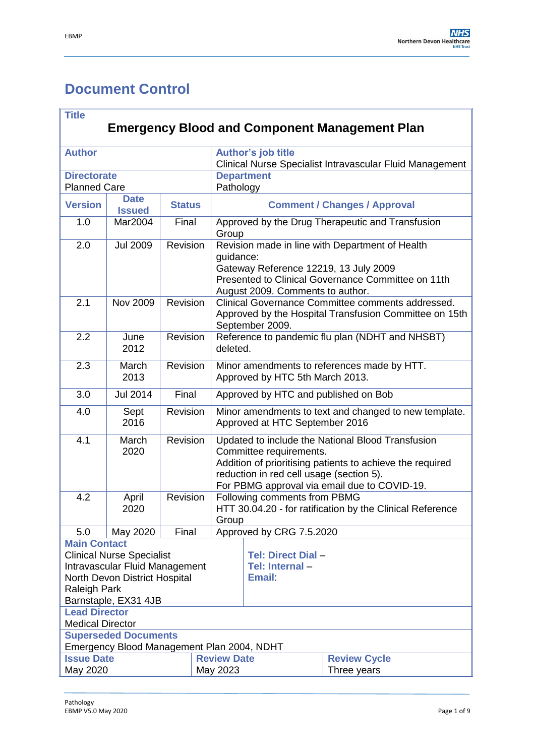# <span id="page-0-0"></span>**Document Control**

| <b>Title</b>                                           |                                                                    |          |                                                                                |                                                                                                                                                                                                                                       |                                      |                                                  |  |
|--------------------------------------------------------|--------------------------------------------------------------------|----------|--------------------------------------------------------------------------------|---------------------------------------------------------------------------------------------------------------------------------------------------------------------------------------------------------------------------------------|--------------------------------------|--------------------------------------------------|--|
| <b>Emergency Blood and Component Management Plan</b>   |                                                                    |          |                                                                                |                                                                                                                                                                                                                                       |                                      |                                                  |  |
| <b>Author</b>                                          |                                                                    |          | Author's job title<br>Clinical Nurse Specialist Intravascular Fluid Management |                                                                                                                                                                                                                                       |                                      |                                                  |  |
| <b>Directorate</b><br><b>Planned Care</b>              |                                                                    |          | <b>Department</b><br>Pathology                                                 |                                                                                                                                                                                                                                       |                                      |                                                  |  |
| <b>Version</b>                                         | <b>Date</b><br><b>Issued</b>                                       |          | <b>Status</b>                                                                  |                                                                                                                                                                                                                                       | <b>Comment / Changes / Approval</b>  |                                                  |  |
| 1.0                                                    | Mar2004                                                            | Final    |                                                                                | Group                                                                                                                                                                                                                                 |                                      | Approved by the Drug Therapeutic and Transfusion |  |
| 2.0                                                    | <b>Jul 2009</b>                                                    | Revision |                                                                                | Revision made in line with Department of Health<br>guidance:<br>Gateway Reference 12219, 13 July 2009<br>Presented to Clinical Governance Committee on 11th<br>August 2009. Comments to author.                                       |                                      |                                                  |  |
| 2.1                                                    | <b>Nov 2009</b>                                                    | Revision |                                                                                | Clinical Governance Committee comments addressed.<br>Approved by the Hospital Transfusion Committee on 15th<br>September 2009.                                                                                                        |                                      |                                                  |  |
| 2.2                                                    | June<br>2012                                                       | Revision |                                                                                | Reference to pandemic flu plan (NDHT and NHSBT)<br>deleted.                                                                                                                                                                           |                                      |                                                  |  |
| 2.3                                                    | March<br>2013                                                      | Revision |                                                                                | Minor amendments to references made by HTT.<br>Approved by HTC 5th March 2013.                                                                                                                                                        |                                      |                                                  |  |
| 3.0                                                    | <b>Jul 2014</b>                                                    |          | Final                                                                          |                                                                                                                                                                                                                                       | Approved by HTC and published on Bob |                                                  |  |
| 4.0                                                    | Sept<br>2016                                                       | Revision |                                                                                | Minor amendments to text and changed to new template.<br>Approved at HTC September 2016                                                                                                                                               |                                      |                                                  |  |
| 4.1                                                    | March<br>2020                                                      | Revision |                                                                                | Updated to include the National Blood Transfusion<br>Committee requirements.<br>Addition of prioritising patients to achieve the required<br>reduction in red cell usage (section 5).<br>For PBMG approval via email due to COVID-19. |                                      |                                                  |  |
| 4.2                                                    | April<br>2020                                                      | Revision |                                                                                | Following comments from PBMG<br>HTT 30.04.20 - for ratification by the Clinical Reference<br>Group                                                                                                                                    |                                      |                                                  |  |
| 5.0                                                    | May 2020                                                           | Final    |                                                                                |                                                                                                                                                                                                                                       | Approved by CRG 7.5.2020             |                                                  |  |
| <b>Main Contact</b>                                    |                                                                    |          |                                                                                |                                                                                                                                                                                                                                       |                                      |                                                  |  |
|                                                        | <b>Clinical Nurse Specialist</b><br>Intravascular Fluid Management |          |                                                                                |                                                                                                                                                                                                                                       | Tel: Direct Dial-                    |                                                  |  |
|                                                        |                                                                    |          |                                                                                |                                                                                                                                                                                                                                       | Tel: Internal-<br><b>Email:</b>      |                                                  |  |
| North Devon District Hospital<br><b>Raleigh Park</b>   |                                                                    |          |                                                                                |                                                                                                                                                                                                                                       |                                      |                                                  |  |
| Barnstaple, EX31 4JB                                   |                                                                    |          |                                                                                |                                                                                                                                                                                                                                       |                                      |                                                  |  |
| <b>Lead Director</b>                                   |                                                                    |          |                                                                                |                                                                                                                                                                                                                                       |                                      |                                                  |  |
| <b>Medical Director</b><br><b>Superseded Documents</b> |                                                                    |          |                                                                                |                                                                                                                                                                                                                                       |                                      |                                                  |  |
| Emergency Blood Management Plan 2004, NDHT             |                                                                    |          |                                                                                |                                                                                                                                                                                                                                       |                                      |                                                  |  |
| <b>Issue Date</b>                                      |                                                                    |          |                                                                                | <b>Review Date</b>                                                                                                                                                                                                                    |                                      | <b>Review Cycle</b>                              |  |
| May 2020                                               |                                                                    |          | May 2023                                                                       |                                                                                                                                                                                                                                       | Three years                          |                                                  |  |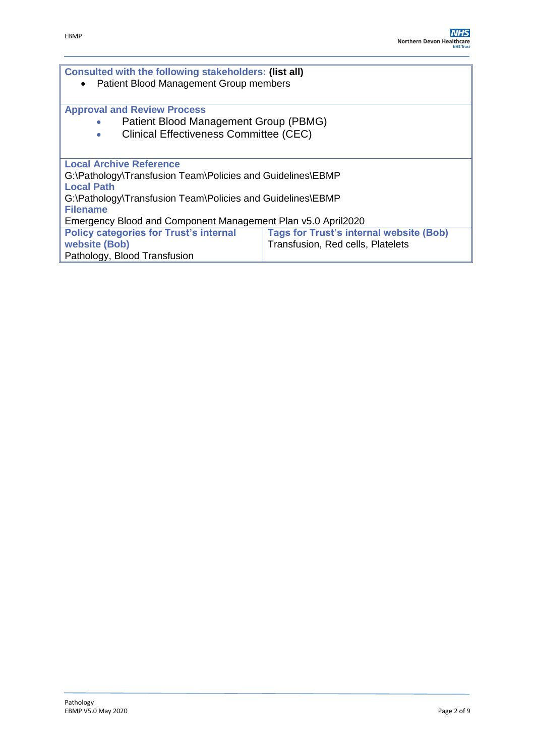| <b>Consulted with the following stakeholders: (list all)</b><br>Patient Blood Management Group members |                                                |  |  |  |  |  |
|--------------------------------------------------------------------------------------------------------|------------------------------------------------|--|--|--|--|--|
| <b>Approval and Review Process</b><br>Patient Blood Management Group (PBMG)                            |                                                |  |  |  |  |  |
| <b>Clinical Effectiveness Committee (CEC)</b><br>۰                                                     |                                                |  |  |  |  |  |
| <b>Local Archive Reference</b>                                                                         |                                                |  |  |  |  |  |
| G:\Pathology\Transfusion Team\Policies and Guidelines\EBMP<br><b>Local Path</b>                        |                                                |  |  |  |  |  |
| G:\Pathology\Transfusion Team\Policies and Guidelines\EBMP<br><b>Filename</b>                          |                                                |  |  |  |  |  |
| Emergency Blood and Component Management Plan v5.0 April2020                                           |                                                |  |  |  |  |  |
| <b>Policy categories for Trust's internal</b>                                                          | <b>Tags for Trust's internal website (Bob)</b> |  |  |  |  |  |
| website (Bob)                                                                                          | Transfusion, Red cells, Platelets              |  |  |  |  |  |
| Pathology, Blood Transfusion                                                                           |                                                |  |  |  |  |  |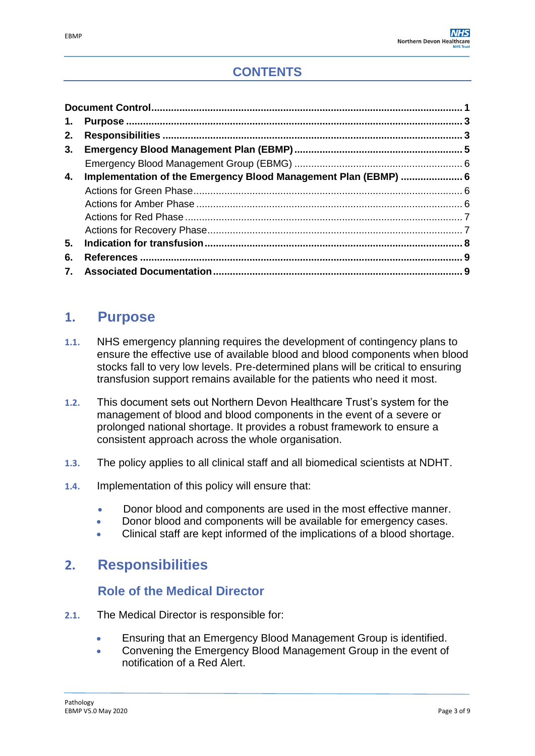| 1. |                                                                 |  |
|----|-----------------------------------------------------------------|--|
| 2. |                                                                 |  |
| 3. |                                                                 |  |
|    |                                                                 |  |
| 4. | Implementation of the Emergency Blood Management Plan (EBMP)  6 |  |
|    |                                                                 |  |
|    |                                                                 |  |
|    |                                                                 |  |
|    |                                                                 |  |
| 5. |                                                                 |  |
| 6. |                                                                 |  |
|    |                                                                 |  |

# <span id="page-2-0"></span>**1. Purpose**

- **1.1.** NHS emergency planning requires the development of contingency plans to ensure the effective use of available blood and blood components when blood stocks fall to very low levels. Pre-determined plans will be critical to ensuring transfusion support remains available for the patients who need it most.
- **1.2.** This document sets out Northern Devon Healthcare Trust's system for the management of blood and blood components in the event of a severe or prolonged national shortage. It provides a robust framework to ensure a consistent approach across the whole organisation.
- **1.3.** The policy applies to all clinical staff and all biomedical scientists at NDHT.
- **1.4.** Implementation of this policy will ensure that:
	- Donor blood and components are used in the most effective manner.
	- Donor blood and components will be available for emergency cases.
	- Clinical staff are kept informed of the implications of a blood shortage.

# <span id="page-2-1"></span>**2. Responsibilities**

## **Role of the Medical Director**

- **2.1.** The Medical Director is responsible for:
	- Ensuring that an Emergency Blood Management Group is identified.
	- Convening the Emergency Blood Management Group in the event of notification of a Red Alert.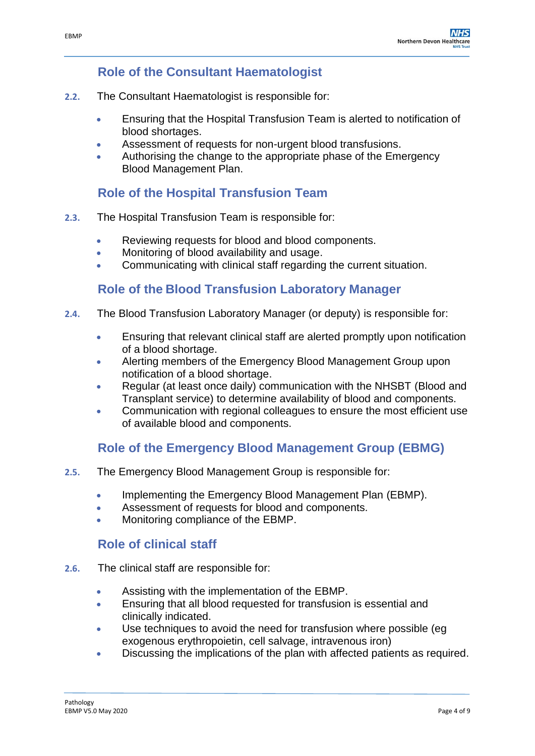### **Role of the Consultant Haematologist**

- **2.2.** The Consultant Haematologist is responsible for:
	- Ensuring that the Hospital Transfusion Team is alerted to notification of blood shortages.
	- Assessment of requests for non-urgent blood transfusions.
	- Authorising the change to the appropriate phase of the Emergency Blood Management Plan.

## **Role of the Hospital Transfusion Team**

- **2.3.** The Hospital Transfusion Team is responsible for:
	- Reviewing requests for blood and blood components.
	- **Monitoring of blood availability and usage.**
	- Communicating with clinical staff regarding the current situation.

## **Role of the Blood Transfusion Laboratory Manager**

- **2.4.** The Blood Transfusion Laboratory Manager (or deputy) is responsible for:
	- Ensuring that relevant clinical staff are alerted promptly upon notification of a blood shortage.
	- Alerting members of the Emergency Blood Management Group upon notification of a blood shortage.
	- Regular (at least once daily) communication with the NHSBT (Blood and Transplant service) to determine availability of blood and components.
	- Communication with regional colleagues to ensure the most efficient use of available blood and components.

## **Role of the Emergency Blood Management Group (EBMG)**

- **2.5.** The Emergency Blood Management Group is responsible for:
	- Implementing the Emergency Blood Management Plan (EBMP).
	- Assessment of requests for blood and components.
	- Monitoring compliance of the EBMP.

## **Role of clinical staff**

- **2.6.** The clinical staff are responsible for:
	- Assisting with the implementation of the EBMP.
	- Ensuring that all blood requested for transfusion is essential and clinically indicated.
	- Use techniques to avoid the need for transfusion where possible (eg exogenous erythropoietin, cell salvage, intravenous iron)
	- Discussing the implications of the plan with affected patients as required.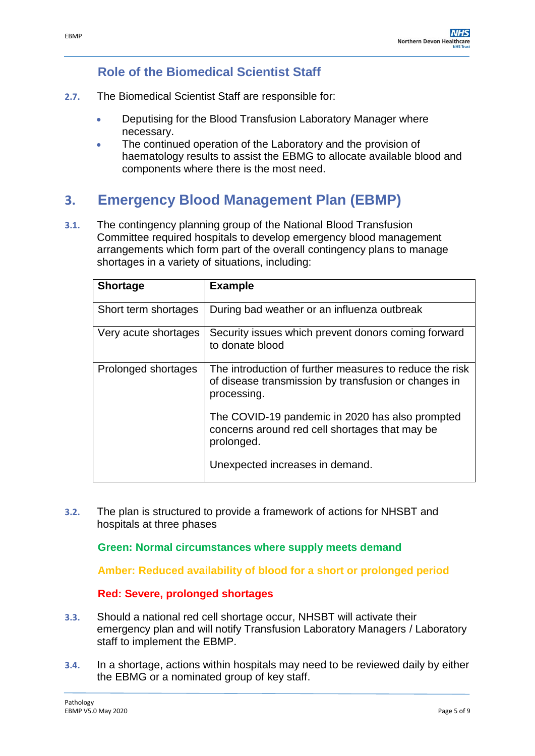### **Role of the Biomedical Scientist Staff**

- **2.7.** The Biomedical Scientist Staff are responsible for:
	- **Deputising for the Blood Transfusion Laboratory Manager where** necessary.
	- The continued operation of the Laboratory and the provision of haematology results to assist the EBMG to allocate available blood and components where there is the most need.

# **3. Emergency Blood Management Plan (EBMP)**

**3.1.** The contingency planning group of the National Blood Transfusion Committee required hospitals to develop emergency blood management arrangements which form part of the overall contingency plans to manage shortages in a variety of situations, including:

| <b>Shortage</b>      | <b>Example</b>                                                                                                                 |
|----------------------|--------------------------------------------------------------------------------------------------------------------------------|
| Short term shortages | During bad weather or an influenza outbreak                                                                                    |
| Very acute shortages | Security issues which prevent donors coming forward<br>to donate blood                                                         |
| Prolonged shortages  | The introduction of further measures to reduce the risk<br>of disease transmission by transfusion or changes in<br>processing. |
|                      | The COVID-19 pandemic in 2020 has also prompted<br>concerns around red cell shortages that may be<br>prolonged.                |
|                      | Unexpected increases in demand.                                                                                                |

**3.2.** The plan is structured to provide a framework of actions for NHSBT and hospitals at three phases

**Green: Normal circumstances where supply meets demand**

**Amber: Reduced availability of blood for a short or prolonged period**

#### **Red: Severe, prolonged shortages**

- **3.3.** Should a national red cell shortage occur, NHSBT will activate their emergency plan and will notify Transfusion Laboratory Managers / Laboratory staff to implement the EBMP.
- **3.4.** In a shortage, actions within hospitals may need to be reviewed daily by either the EBMG or a nominated group of key staff.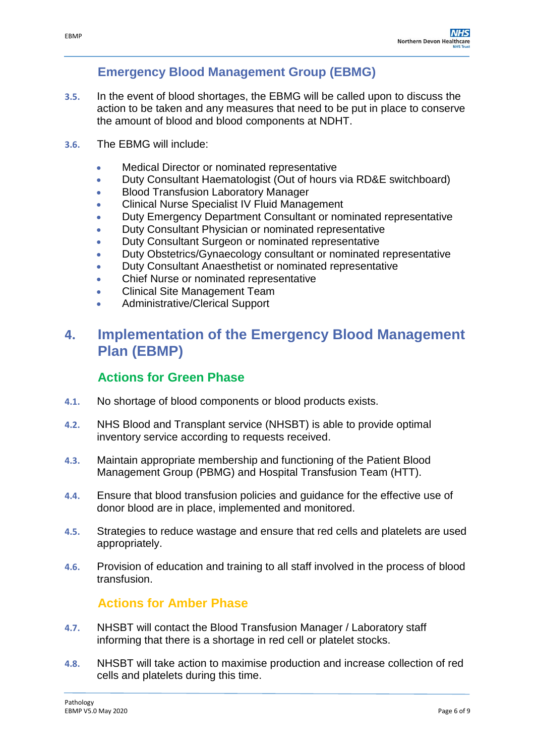# **Emergency Blood Management Group (EBMG)**

- **3.5.** In the event of blood shortages, the EBMG will be called upon to discuss the action to be taken and any measures that need to be put in place to conserve the amount of blood and blood components at NDHT.
- **3.6.** The EBMG will include:
	- **Medical Director or nominated representative**
	- Duty Consultant Haematologist (Out of hours via RD&E switchboard)
	- **Blood Transfusion Laboratory Manager**
	- Clinical Nurse Specialist IV Fluid Management
	- Duty Emergency Department Consultant or nominated representative
	- Duty Consultant Physician or nominated representative
	- Duty Consultant Surgeon or nominated representative
	- Duty Obstetrics/Gynaecology consultant or nominated representative
	- Duty Consultant Anaesthetist or nominated representative
	- Chief Nurse or nominated representative
	- Clinical Site Management Team
	- Administrative/Clerical Support

# <span id="page-5-0"></span>**4. Implementation of the Emergency Blood Management Plan (EBMP)**

# **Actions for Green Phase**

- **4.1.** No shortage of blood components or blood products exists.
- **4.2.** NHS Blood and Transplant service (NHSBT) is able to provide optimal inventory service according to requests received.
- **4.3.** Maintain appropriate membership and functioning of the Patient Blood Management Group (PBMG) and Hospital Transfusion Team (HTT).
- **4.4.** Ensure that blood transfusion policies and guidance for the effective use of donor blood are in place, implemented and monitored.
- **4.5.** Strategies to reduce wastage and ensure that red cells and platelets are used appropriately.
- **4.6.** Provision of education and training to all staff involved in the process of blood transfusion.

## **Actions for Amber Phase**

- **4.7.** NHSBT will contact the Blood Transfusion Manager / Laboratory staff informing that there is a shortage in red cell or platelet stocks.
- **4.8.** NHSBT will take action to maximise production and increase collection of red cells and platelets during this time.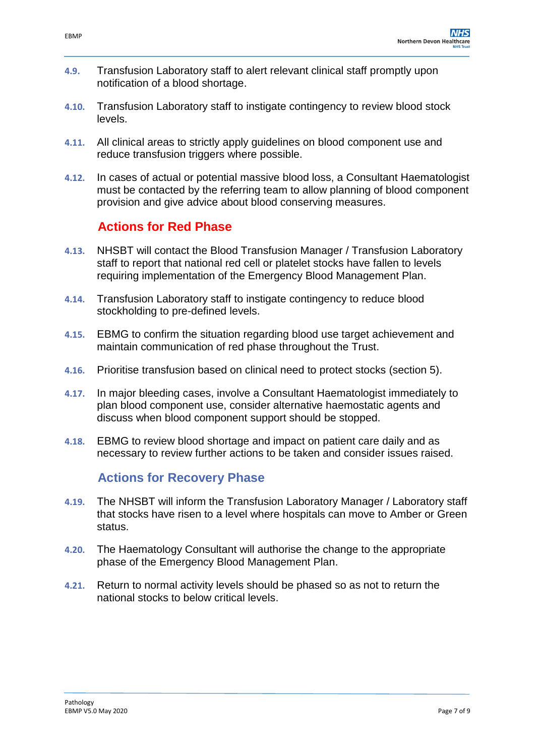- **4.9.** Transfusion Laboratory staff to alert relevant clinical staff promptly upon notification of a blood shortage.
- **4.10.** Transfusion Laboratory staff to instigate contingency to review blood stock levels.
- **4.11.** All clinical areas to strictly apply guidelines on blood component use and reduce transfusion triggers where possible.
- **4.12.** In cases of actual or potential massive blood loss, a Consultant Haematologist must be contacted by the referring team to allow planning of blood component provision and give advice about blood conserving measures.

## **Actions for Red Phase**

- <span id="page-6-0"></span>**4.13.** NHSBT will contact the Blood Transfusion Manager / Transfusion Laboratory staff to report that national red cell or platelet stocks have fallen to levels requiring implementation of the Emergency Blood Management Plan.
- **4.14.** Transfusion Laboratory staff to instigate contingency to reduce blood stockholding to pre-defined levels.
- **4.15.** EBMG to confirm the situation regarding blood use target achievement and maintain communication of red phase throughout the Trust.
- **4.16.** Prioritise transfusion based on clinical need to protect stocks (section 5).
- **4.17.** In major bleeding cases, involve a Consultant Haematologist immediately to plan blood component use, consider alternative haemostatic agents and discuss when blood component support should be stopped.
- **4.18.** EBMG to review blood shortage and impact on patient care daily and as necessary to review further actions to be taken and consider issues raised.

## **Actions for Recovery Phase**

- **4.19.** The NHSBT will inform the Transfusion Laboratory Manager / Laboratory staff that stocks have risen to a level where hospitals can move to Amber or Green status.
- **4.20.** The Haematology Consultant will authorise the change to the appropriate phase of the Emergency Blood Management Plan.
- **4.21.** Return to normal activity levels should be phased so as not to return the national stocks to below critical levels.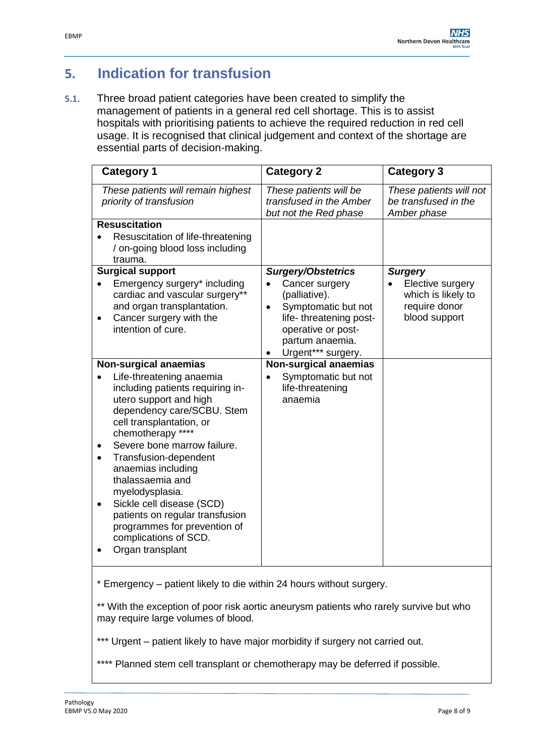# **5. Indication for transfusion**

**5.1.** Three broad patient categories have been created to simplify the management of patients in a general red cell shortage. This is to assist hospitals with prioritising patients to achieve the required reduction in red cell usage. It is recognised that clinical judgement and context of the shortage are essential parts of decision-making.

| <b>Category 1</b>                                                                                                                                                                                                                                                                                                                                                                                                                                                       | <b>Category 2</b>                                                                                                                                                                          | <b>Category 3</b>                                                                          |
|-------------------------------------------------------------------------------------------------------------------------------------------------------------------------------------------------------------------------------------------------------------------------------------------------------------------------------------------------------------------------------------------------------------------------------------------------------------------------|--------------------------------------------------------------------------------------------------------------------------------------------------------------------------------------------|--------------------------------------------------------------------------------------------|
| These patients will remain highest<br>priority of transfusion                                                                                                                                                                                                                                                                                                                                                                                                           | These patients will be<br>transfused in the Amber<br>but not the Red phase                                                                                                                 | These patients will not<br>be transfused in the<br>Amber phase                             |
| <b>Resuscitation</b><br>Resuscitation of life-threatening<br>/ on-going blood loss including<br>trauma.                                                                                                                                                                                                                                                                                                                                                                 |                                                                                                                                                                                            |                                                                                            |
| <b>Surgical support</b><br>Emergency surgery* including<br>cardiac and vascular surgery**<br>and organ transplantation.<br>Cancer surgery with the<br>intention of cure.                                                                                                                                                                                                                                                                                                | <b>Surgery/Obstetrics</b><br>Cancer surgery<br>(palliative).<br>Symptomatic but not<br>$\bullet$<br>life- threatening post-<br>operative or post-<br>partum anaemia.<br>Urgent*** surgery. | <b>Surgery</b><br>Elective surgery<br>which is likely to<br>require donor<br>blood support |
| <b>Non-surgical anaemias</b><br>Life-threatening anaemia<br>including patients requiring in-<br>utero support and high<br>dependency care/SCBU. Stem<br>cell transplantation, or<br>chemotherapy ****<br>Severe bone marrow failure.<br>Transfusion-dependent<br>anaemias including<br>thalassaemia and<br>myelodysplasia.<br>Sickle cell disease (SCD)<br>patients on regular transfusion<br>programmes for prevention of<br>complications of SCD.<br>Organ transplant | <b>Non-surgical anaemias</b><br>Symptomatic but not<br>life-threatening<br>anaemia                                                                                                         |                                                                                            |

**5.3.** \* Emergency – patient likely to die within 24 hours without surgery.

\*\* With the exception of poor risk aortic aneurysm patients who rarely survive but who may require large volumes of blood.

\*\*\* Urgent – patient likely to have major morbidity if surgery not carried out.

\*\*\*\* Planned stem cell transplant or chemotherapy may be deferred if possible.